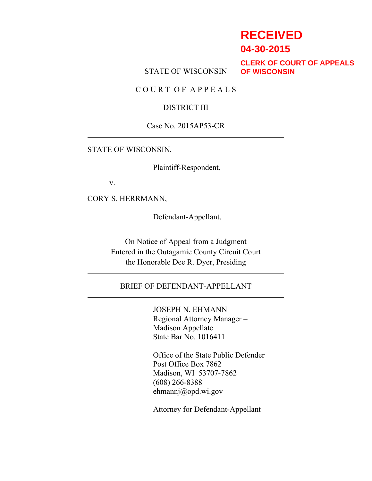## **RECEIVED**

**04-30-2015**

STATE OF WISCONSIN

**CLERK OF COURT OF APPEALS OF WISCONSIN**

C O U R T O F A P P E A L S

#### DISTRICT III

Case No. 2015AP53-CR

STATE OF WISCONSIN,

Plaintiff-Respondent,

v.

CORY S. HERRMANN,

Defendant-Appellant.

On Notice of Appeal from a Judgment Entered in the Outagamie County Circuit Court the Honorable Dee R. Dyer, Presiding

#### BRIEF OF DEFENDANT-APPELLANT

JOSEPH N. EHMANN Regional Attorney Manager – Madison Appellate State Bar No. 1016411

Office of the State Public Defender Post Office Box 7862 Madison, WI 53707-7862 (608) 266-8388 ehmannj@opd.wi.gov

Attorney for Defendant-Appellant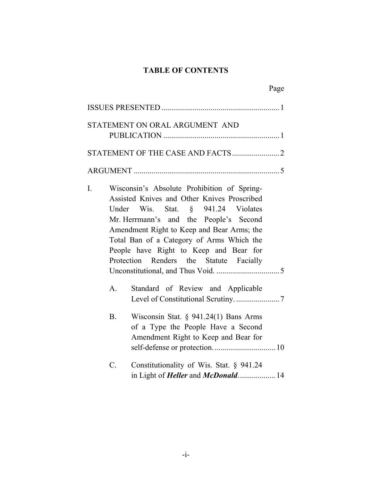## **TABLE OF CONTENTS**

|             |                                                                                                                                                                                                                                                                                                                                                            | Page |
|-------------|------------------------------------------------------------------------------------------------------------------------------------------------------------------------------------------------------------------------------------------------------------------------------------------------------------------------------------------------------------|------|
|             |                                                                                                                                                                                                                                                                                                                                                            |      |
|             | STATEMENT ON ORAL ARGUMENT AND                                                                                                                                                                                                                                                                                                                             |      |
|             |                                                                                                                                                                                                                                                                                                                                                            |      |
|             |                                                                                                                                                                                                                                                                                                                                                            |      |
|             |                                                                                                                                                                                                                                                                                                                                                            |      |
| I.          | Wisconsin's Absolute Prohibition of Spring-<br>Assisted Knives and Other Knives Proscribed<br>Under Wis. Stat. § 941.24 Violates<br>Mr. Herrmann's and the People's Second<br>Amendment Right to Keep and Bear Arms; the<br>Total Ban of a Category of Arms Which the<br>People have Right to Keep and Bear for<br>Protection Renders the Statute Facially |      |
| $A_{\cdot}$ | Standard of Review and Applicable                                                                                                                                                                                                                                                                                                                          |      |
| <b>B</b> .  | Wisconsin Stat. $\S$ 941.24(1) Bans Arms<br>of a Type the People Have a Second<br>Amendment Right to Keep and Bear for                                                                                                                                                                                                                                     |      |
| C.          | Constitutionality of Wis. Stat. § 941.24<br>in Light of <i>Heller</i> and <i>McDonald.</i> 14                                                                                                                                                                                                                                                              |      |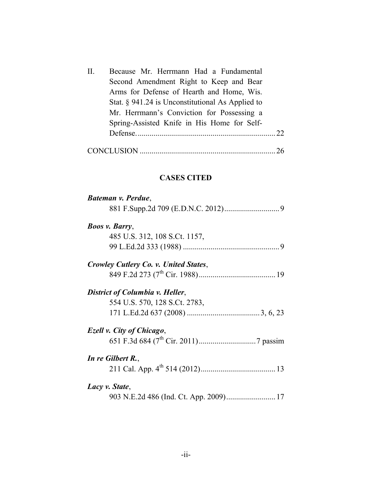| П. | Because Mr. Herrmann Had a Fundamental              |  |
|----|-----------------------------------------------------|--|
|    | Second Amendment Right to Keep and Bear             |  |
|    | Arms for Defense of Hearth and Home, Wis.           |  |
|    | Stat. $\S$ 941.24 is Unconstitutional As Applied to |  |
|    | Mr. Herrmann's Conviction for Possessing a          |  |
|    | Spring-Assisted Knife in His Home for Self-         |  |
|    |                                                     |  |
|    |                                                     |  |

CONCLUSION .....................................................................26

## **CASES CITED**

| Bateman v. Perdue,                    |
|---------------------------------------|
|                                       |
| <b>Boos v. Barry,</b>                 |
| 485 U.S. 312, 108 S.Ct. 1157,         |
|                                       |
| Crowley Cutlery Co. v. United States, |
|                                       |
| District of Columbia v. Heller,       |
| 554 U.S. 570, 128 S.Ct. 2783,         |
|                                       |
| Ezell v. City of Chicago,             |
|                                       |
| In re Gilbert R.,                     |
|                                       |
| Lacy v. State,                        |
|                                       |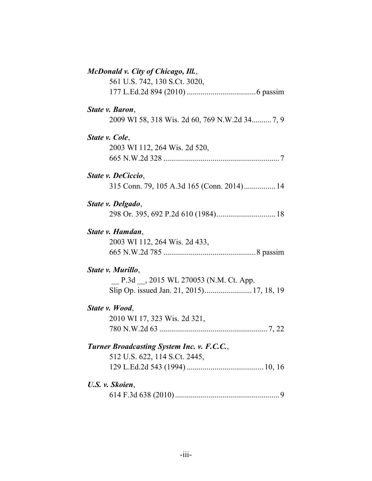| McDonald v. City of Chicago, Ill.,             |
|------------------------------------------------|
| 561 U.S. 742, 130 S.Ct. 3020,                  |
|                                                |
| State v. Baron,                                |
| 2009 WI 58, 318 Wis. 2d 60, 769 N.W.2d 34 7, 9 |
| State v. Cole,                                 |
| 2003 WI 112, 264 Wis. 2d 520,                  |
|                                                |
| State v. DeCiccio,                             |
| 315 Conn. 79, 105 A.3d 165 (Conn. 2014) 14     |
| State v. Delgado,                              |
|                                                |
| State v. Hamdan,                               |
| 2003 WI 112, 264 Wis. 2d 433,                  |
|                                                |
| State v. Murillo,                              |
| P.3d __, 2015 WL 270053 (N.M. Ct. App.         |
|                                                |
| State v. Wood,                                 |
| 2010 WI 17, 323 Wis. 2d 321,                   |
|                                                |
| Turner Broadcasting System Inc. v. F.C.C.,     |
| 512 U.S. 622, 114 S.Ct. 2445,                  |
|                                                |
| U.S. v. Skoien,                                |
|                                                |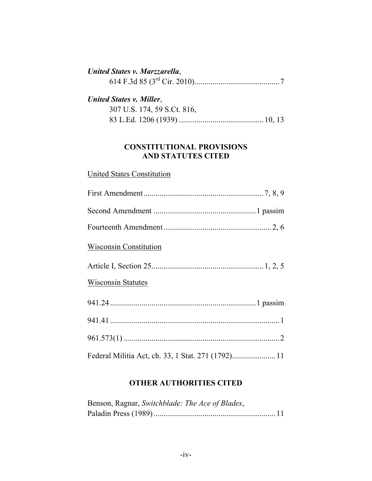## *United States v. Marzzarella*, 614 F.3d 85 (3rd Cir. 2010)...........................................7 *United States v. Miller*,  $307 \text{ U.S.}$   $374, 59, 8, 616, 816$

| $30/$ U.S. 1/4, 39 S.Ct. 810, |  |
|-------------------------------|--|
|                               |  |

## **CONSTITUTIONAL PROVISIONS AND STATUTES CITED**

# United States Constitution First Amendment.............................................................7, 8, 9 Second Amendment ....................................................1 passim Fourteenth Amendment.......................................................2, 6 Wisconsin Constitution Article I, Section 25.........................................................1, 2, 5 Wisconsin Statutes 941.24 ..........................................................................1 passim 941.41 ......................................................................................1 961.573(1) ...............................................................................2 Federal Militia Act, ch. 33, 1 Stat. 271 (1792)......................11

## **OTHER AUTHORITIES CITED**

| Benson, Ragnar, Switchblade: The Ace of Blades, |  |
|-------------------------------------------------|--|
|                                                 |  |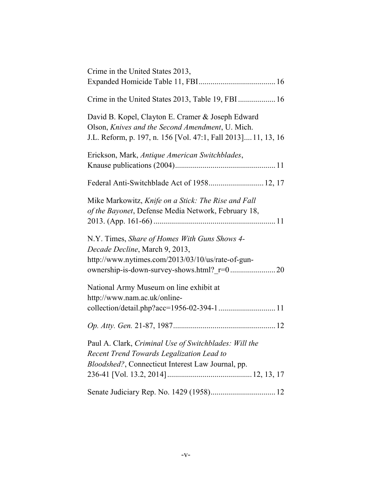| Crime in the United States 2013,                                                                                                                                       |
|------------------------------------------------------------------------------------------------------------------------------------------------------------------------|
|                                                                                                                                                                        |
| Crime in the United States 2013, Table 19, FBI 16                                                                                                                      |
| David B. Kopel, Clayton E. Cramer & Joseph Edward<br>Olson, Knives and the Second Amendment, U. Mich.<br>J.L. Reform, p. 197, n. 156 [Vol. 47:1, Fall 2013] 11, 13, 16 |
| Erickson, Mark, Antique American Switchblades,                                                                                                                         |
| Federal Anti-Switchblade Act of 1958 12, 17                                                                                                                            |
| Mike Markowitz, Knife on a Stick: The Rise and Fall<br>of the Bayonet, Defense Media Network, February 18,                                                             |
| N.Y. Times, Share of Homes With Guns Shows 4-<br>Decade Decline, March 9, 2013,<br>http://www.nytimes.com/2013/03/10/us/rate-of-gun-                                   |
| National Army Museum on line exhibit at<br>http://www.nam.ac.uk/online-                                                                                                |
| collection/detail.php?acc=1956-02-394-1 11                                                                                                                             |
|                                                                                                                                                                        |
| Paul A. Clark, Criminal Use of Switchblades: Will the<br>Recent Trend Towards Legalization Lead to<br>Bloodshed?, Connecticut Interest Law Journal, pp.                |
|                                                                                                                                                                        |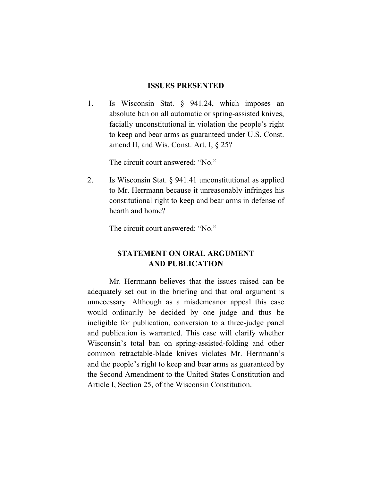#### **ISSUES PRESENTED**

1. Is Wisconsin Stat. § 941.24, which imposes an absolute ban on all automatic or spring-assisted knives, facially unconstitutional in violation the people's right to keep and bear arms as guaranteed under U.S. Const. amend II, and Wis. Const. Art. I, § 25?

The circuit court answered: "No."

2. Is Wisconsin Stat. § 941.41 unconstitutional as applied to Mr. Herrmann because it unreasonably infringes his constitutional right to keep and bear arms in defense of hearth and home?

The circuit court answered: "No."

### **STATEMENT ON ORAL ARGUMENT AND PUBLICATION**

Mr. Herrmann believes that the issues raised can be adequately set out in the briefing and that oral argument is unnecessary. Although as a misdemeanor appeal this case would ordinarily be decided by one judge and thus be ineligible for publication, conversion to a three-judge panel and publication is warranted. This case will clarify whether Wisconsin's total ban on spring-assisted-folding and other common retractable-blade knives violates Mr. Herrmann's and the people's right to keep and bear arms as guaranteed by the Second Amendment to the United States Constitution and Article I, Section 25, of the Wisconsin Constitution.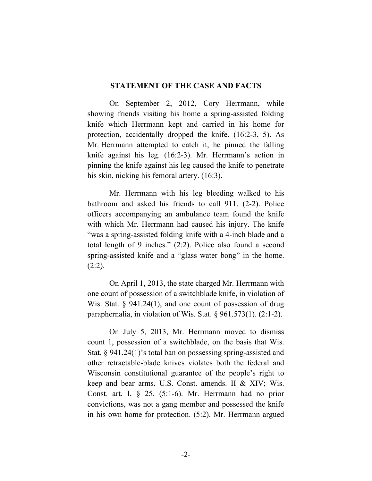#### **STATEMENT OF THE CASE AND FACTS**

On September 2, 2012, Cory Herrmann, while showing friends visiting his home a spring-assisted folding knife which Herrmann kept and carried in his home for protection, accidentally dropped the knife. (16:2-3, 5). As Mr. Herrmann attempted to catch it, he pinned the falling knife against his leg. (16:2-3). Mr. Herrmann's action in pinning the knife against his leg caused the knife to penetrate his skin, nicking his femoral artery. (16:3).

Mr. Herrmann with his leg bleeding walked to his bathroom and asked his friends to call 911. (2-2). Police officers accompanying an ambulance team found the knife with which Mr. Herrmann had caused his injury. The knife "was a spring-assisted folding knife with a 4-inch blade and a total length of 9 inches." (2:2). Police also found a second spring-assisted knife and a "glass water bong" in the home.  $(2:2)$ .

On April 1, 2013, the state charged Mr. Herrmann with one count of possession of a switchblade knife, in violation of Wis. Stat. § 941.24(1), and one count of possession of drug paraphernalia, in violation of Wis. Stat. § 961.573(1). (2:1-2).

On July 5, 2013, Mr. Herrmann moved to dismiss count 1, possession of a switchblade, on the basis that Wis. Stat. § 941.24(1)'s total ban on possessing spring-assisted and other retractable-blade knives violates both the federal and Wisconsin constitutional guarantee of the people's right to keep and bear arms. U.S. Const. amends. II & XIV; Wis. Const. art. I, § 25. (5:1-6). Mr. Herrmann had no prior convictions, was not a gang member and possessed the knife in his own home for protection. (5:2). Mr. Herrmann argued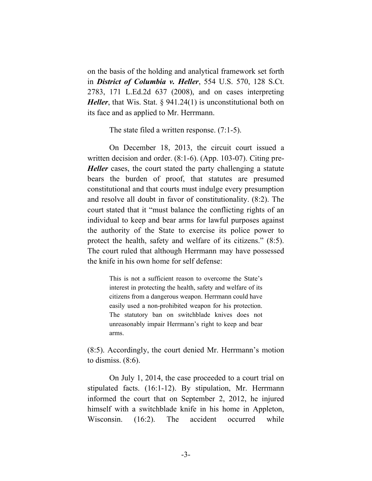on the basis of the holding and analytical framework set forth in *District of Columbia v. Heller*, 554 U.S. 570, 128 S.Ct. 2783, 171 L.Ed.2d 637 (2008), and on cases interpreting *Heller*, that Wis. Stat. § 941.24(1) is unconstitutional both on its face and as applied to Mr. Herrmann.

The state filed a written response. (7:1-5).

On December 18, 2013, the circuit court issued a written decision and order. (8:1-6). (App. 103-07). Citing pre-*Heller* cases, the court stated the party challenging a statute bears the burden of proof, that statutes are presumed constitutional and that courts must indulge every presumption and resolve all doubt in favor of constitutionality. (8:2). The court stated that it "must balance the conflicting rights of an individual to keep and bear arms for lawful purposes against the authority of the State to exercise its police power to protect the health, safety and welfare of its citizens." (8:5). The court ruled that although Herrmann may have possessed the knife in his own home for self defense:

> This is not a sufficient reason to overcome the State's interest in protecting the health, safety and welfare of its citizens from a dangerous weapon. Herrmann could have easily used a non-prohibited weapon for his protection. The statutory ban on switchblade knives does not unreasonably impair Herrmann's right to keep and bear arms.

(8:5). Accordingly, the court denied Mr. Herrmann's motion to dismiss. (8:6).

On July 1, 2014, the case proceeded to a court trial on stipulated facts. (16:1-12). By stipulation, Mr. Herrmann informed the court that on September 2, 2012, he injured himself with a switchblade knife in his home in Appleton, Wisconsin. (16:2). The accident occurred while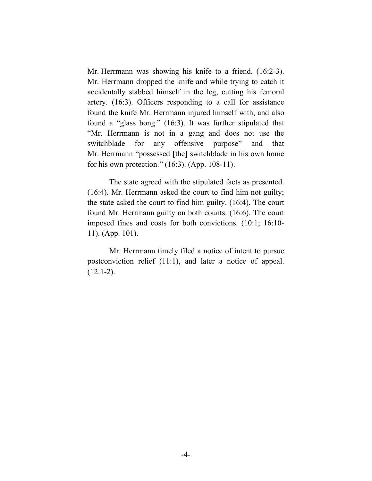Mr. Herrmann was showing his knife to a friend. (16:2-3). Mr. Herrmann dropped the knife and while trying to catch it accidentally stabbed himself in the leg, cutting his femoral artery. (16:3). Officers responding to a call for assistance found the knife Mr. Herrmann injured himself with, and also found a "glass bong." (16:3). It was further stipulated that "Mr. Herrmann is not in a gang and does not use the switchblade for any offensive purpose" and that Mr. Herrmann "possessed [the] switchblade in his own home for his own protection." (16:3). (App. 108-11).

The state agreed with the stipulated facts as presented. (16:4). Mr. Herrmann asked the court to find him not guilty; the state asked the court to find him guilty. (16:4). The court found Mr. Herrmann guilty on both counts. (16:6). The court imposed fines and costs for both convictions. (10:1; 16:10- 11). (App. 101).

Mr. Herrmann timely filed a notice of intent to pursue postconviction relief (11:1), and later a notice of appeal.  $(12:1-2)$ .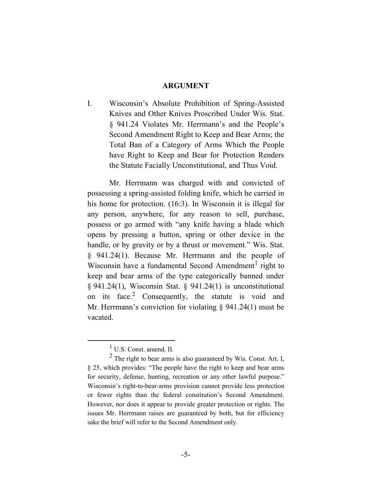#### **ARGUMENT**

I. Wisconsin's Absolute Prohibition of Spring-Assisted Knives and Other Knives Proscribed Under Wis. Stat. § 941.24 Violates Mr. Herrmann's and the People's Second Amendment Right to Keep and Bear Arms; the Total Ban of a Category of Arms Which the People have Right to Keep and Bear for Protection Renders the Statute Facially Unconstitutional, and Thus Void.

Mr. Herrmann was charged with and convicted of possessing a spring-assisted folding knife, which he carried in his home for protection. (16:3). In Wisconsin it is illegal for any person, anywhere, for any reason to sell, purchase, possess or go armed with "any knife having a blade which opens by pressing a button, spring or other device in the handle, or by gravity or by a thrust or movement." Wis. Stat. § 941.24(1). Because Mr. Herrmann and the people of Wisconsin have a fundamental Second Amendment<sup>1</sup> right to keep and bear arms of the type categorically banned under § 941.24(1), Wisconsin Stat. § 941.24(1) is unconstitutional on its face.<sup>2</sup> Consequently, the statute is void and Mr. Herrmann's conviction for violating § 941.24(1) must be vacated.

 $\overline{\phantom{a}}$ U.S. Const. amend. II.

 $2$  The right to bear arms is also guaranteed by Wis. Const. Art. I, § 25, which provides: "The people have the right to keep and bear arms for security, defense, hunting, recreation or any other lawful purpose." Wisconsin's right-to-bear-arms provision cannot provide less protection or fewer rights than the federal constitution's Second Amendment. However, nor does it appear to provide greater protection or rights. The issues Mr. Herrmann raises are guaranteed by both, but for efficiency sake the brief will refer to the Second Amendment only.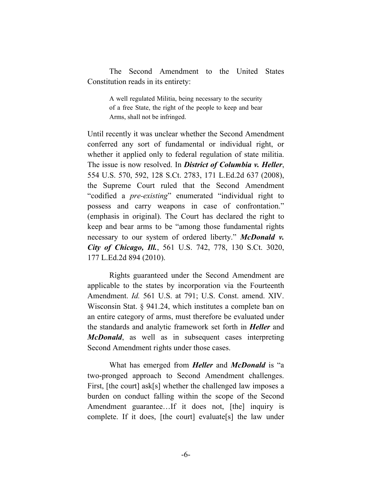The Second Amendment to the United States Constitution reads in its entirety:

> A well regulated Militia, being necessary to the security of a free State, the right of the people to keep and bear Arms, shall not be infringed.

Until recently it was unclear whether the Second Amendment conferred any sort of fundamental or individual right, or whether it applied only to federal regulation of state militia. The issue is now resolved. In *District of Columbia v. Heller*, 554 U.S. 570, 592, 128 S.Ct. 2783, 171 L.Ed.2d 637 (2008), the Supreme Court ruled that the Second Amendment "codified a *pre-existing*" enumerated "individual right to possess and carry weapons in case of confrontation." (emphasis in original). The Court has declared the right to keep and bear arms to be "among those fundamental rights necessary to our system of ordered liberty." *McDonald v. City of Chicago, Ill.*, 561 U.S. 742, 778, 130 S.Ct. 3020, 177 L.Ed.2d 894 (2010).

Rights guaranteed under the Second Amendment are applicable to the states by incorporation via the Fourteenth Amendment. *Id.* 561 U.S. at 791; U.S. Const. amend. XIV. Wisconsin Stat. § 941.24, which institutes a complete ban on an entire category of arms, must therefore be evaluated under the standards and analytic framework set forth in *Heller* and *McDonald*, as well as in subsequent cases interpreting Second Amendment rights under those cases.

What has emerged from *Heller* and *McDonald* is "a two-pronged approach to Second Amendment challenges. First, [the court] ask[s] whether the challenged law imposes a burden on conduct falling within the scope of the Second Amendment guarantee…If it does not, [the] inquiry is complete. If it does, [the court] evaluate[s] the law under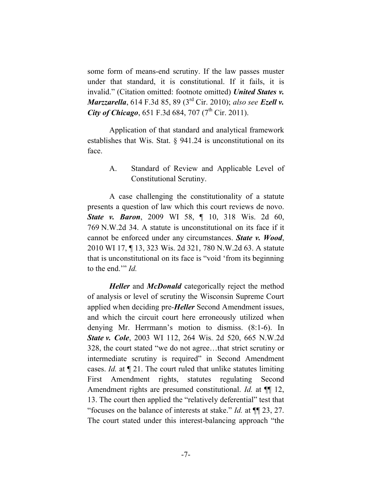some form of means-end scrutiny. If the law passes muster under that standard, it is constitutional. If it fails, it is invalid." (Citation omitted: footnote omitted) *United States v. Marzzarella*, 614 F.3d 85, 89 (3rd Cir. 2010); *also see Ezell v.*  **City of Chicago**, 651 F.3d 684, 707 ( $7^{\text{th}}$  Cir. 2011).

Application of that standard and analytical framework establishes that Wis. Stat. § 941.24 is unconstitutional on its face.

> A. Standard of Review and Applicable Level of Constitutional Scrutiny.

A case challenging the constitutionality of a statute presents a question of law which this court reviews de novo. **State v. Baron**, 2009 WI 58, ¶ 10, 318 Wis. 2d 60, 769 N.W.2d 34. A statute is unconstitutional on its face if it cannot be enforced under any circumstances. *State v. Wood*, 2010 WI 17, ¶ 13, 323 Wis. 2d 321, 780 N.W.2d 63. A statute that is unconstitutional on its face is "void 'from its beginning to the end.'" *Id.*

*Heller* and *McDonald* categorically reject the method of analysis or level of scrutiny the Wisconsin Supreme Court applied when deciding pre-*Heller* Second Amendment issues, and which the circuit court here erroneously utilized when denying Mr. Herrmann's motion to dismiss. (8:1-6). In *State v. Cole*, 2003 WI 112, 264 Wis. 2d 520, 665 N.W.2d 328, the court stated "we do not agree…that strict scrutiny or intermediate scrutiny is required" in Second Amendment cases. *Id.* at ¶ 21. The court ruled that unlike statutes limiting First Amendment rights, statutes regulating Second Amendment rights are presumed constitutional. *Id.* at ¶¶ 12, 13. The court then applied the "relatively deferential" test that "focuses on the balance of interests at stake." *Id.* at ¶¶ 23, 27. The court stated under this interest-balancing approach "the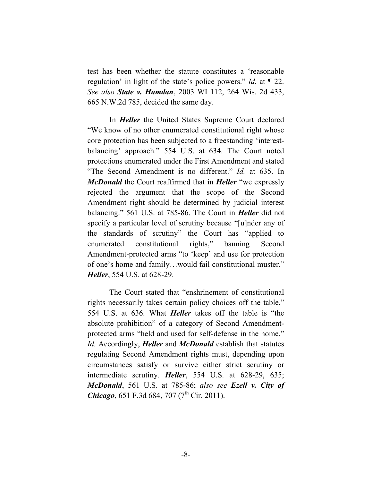test has been whether the statute constitutes a 'reasonable regulation' in light of the state's police powers." *Id.* at ¶ 22. *See also State v. Hamdan*, 2003 WI 112, 264 Wis. 2d 433, 665 N.W.2d 785, decided the same day.

In *Heller* the United States Supreme Court declared "We know of no other enumerated constitutional right whose core protection has been subjected to a freestanding 'interestbalancing' approach." 554 U.S. at 634. The Court noted protections enumerated under the First Amendment and stated "The Second Amendment is no different." *Id.* at 635. In *McDonald* the Court reaffirmed that in *Heller* "we expressly rejected the argument that the scope of the Second Amendment right should be determined by judicial interest balancing." 561 U.S. at 785-86. The Court in *Heller* did not specify a particular level of scrutiny because "[u]nder any of the standards of scrutiny" the Court has "applied to enumerated constitutional rights," banning Second Amendment-protected arms "to 'keep' and use for protection of one's home and family…would fail constitutional muster." *Heller*, 554 U.S. at 628-29.

The Court stated that "enshrinement of constitutional rights necessarily takes certain policy choices off the table." 554 U.S. at 636. What *Heller* takes off the table is "the absolute prohibition" of a category of Second Amendmentprotected arms "held and used for self-defense in the home." *Id.* Accordingly, *Heller* and *McDonald* establish that statutes regulating Second Amendment rights must, depending upon circumstances satisfy or survive either strict scrutiny or intermediate scrutiny. *Heller*, 554 U.S. at 628-29, 635; *McDonald*, 561 U.S. at 785-86; *also see Ezell v. City of Chicago*, 651 F.3d 684, 707 (7<sup>th</sup> Cir. 2011).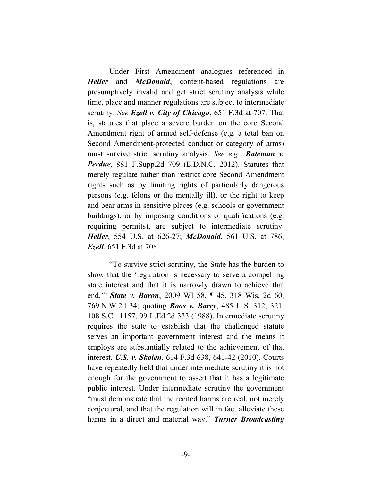Under First Amendment analogues referenced in *Heller* and *McDonald*, content-based regulations are presumptively invalid and get strict scrutiny analysis while time, place and manner regulations are subject to intermediate scrutiny. *See Ezell v. City of Chicago*, 651 F.3d at 707. That is, statutes that place a severe burden on the core Second Amendment right of armed self-defense (e.g. a total ban on Second Amendment-protected conduct or category of arms) must survive strict scrutiny analysis. *See e.g.*, *Bateman v. Perdue*, 881 F.Supp.2d 709 (E.D.N.C. 2012). Statutes that merely regulate rather than restrict core Second Amendment rights such as by limiting rights of particularly dangerous persons (e.g. felons or the mentally ill), or the right to keep and bear arms in sensitive places (e.g. schools or government buildings), or by imposing conditions or qualifications (e.g. requiring permits), are subject to intermediate scrutiny. *Heller*, 554 U.S. at 626-27; *McDonald*, 561 U.S. at 786; *Ezell*, 651 F.3d at 708.

"To survive strict scrutiny, the State has the burden to show that the 'regulation is necessary to serve a compelling state interest and that it is narrowly drawn to achieve that end.'" *State v. Baron*, 2009 WI 58, ¶ 45, 318 Wis. 2d 60, 769 N.W.2d 34; quoting *Boos v. Barry*, 485 U.S. 312, 321, 108 S.Ct. 1157, 99 L.Ed.2d 333 (1988). Intermediate scrutiny requires the state to establish that the challenged statute serves an important government interest and the means it employs are substantially related to the achievement of that interest. *U.S. v. Skoien*, 614 F.3d 638, 641-42 (2010). Courts have repeatedly held that under intermediate scrutiny it is not enough for the government to assert that it has a legitimate public interest. Under intermediate scrutiny the government "must demonstrate that the recited harms are real, not merely conjectural, and that the regulation will in fact alleviate these harms in a direct and material way." *Turner Broadcasting*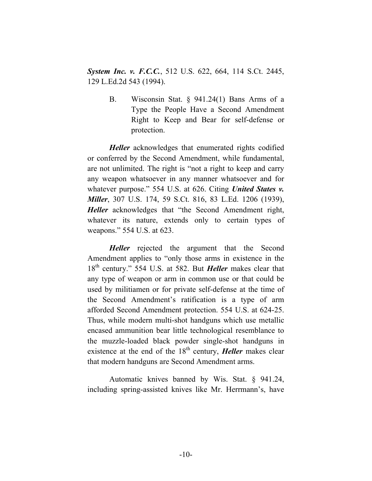*System Inc. v. F.C.C.*, 512 U.S. 622, 664, 114 S.Ct. 2445, 129 L.Ed.2d 543 (1994).

> B. Wisconsin Stat. § 941.24(1) Bans Arms of a Type the People Have a Second Amendment Right to Keep and Bear for self-defense or protection.

*Heller* acknowledges that enumerated rights codified or conferred by the Second Amendment, while fundamental, are not unlimited. The right is "not a right to keep and carry any weapon whatsoever in any manner whatsoever and for whatever purpose." 554 U.S. at 626. Citing *United States v. Miller*, 307 U.S. 174, 59 S.Ct. 816, 83 L.Ed. 1206 (1939), *Heller* acknowledges that "the Second Amendment right, whatever its nature, extends only to certain types of weapons." 554 U.S. at 623.

*Heller* rejected the argument that the Second Amendment applies to "only those arms in existence in the 18th century." 554 U.S. at 582. But *Heller* makes clear that any type of weapon or arm in common use or that could be used by militiamen or for private self-defense at the time of the Second Amendment's ratification is a type of arm afforded Second Amendment protection. 554 U.S. at 624-25. Thus, while modern multi-shot handguns which use metallic encased ammunition bear little technological resemblance to the muzzle-loaded black powder single-shot handguns in existence at the end of the  $18<sup>th</sup>$  century, *Heller* makes clear that modern handguns are Second Amendment arms.

Automatic knives banned by Wis. Stat. § 941.24, including spring-assisted knives like Mr. Herrmann's, have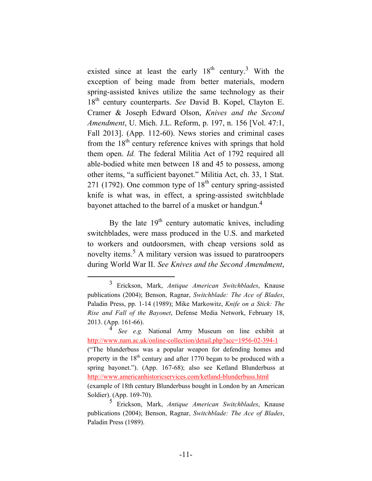existed since at least the early  $18<sup>th</sup>$  century.<sup>3</sup> With the exception of being made from better materials, modern spring-assisted knives utilize the same technology as their 18th century counterparts. *See* David B. Kopel, Clayton E. Cramer & Joseph Edward Olson, *Knives and the Second Amendment*, U. Mich. J.L. Reform, p. 197, n. 156 [Vol. 47:1, Fall 2013]. (App. 112-60). News stories and criminal cases from the  $18<sup>th</sup>$  century reference knives with springs that hold them open. *Id.* The federal Militia Act of 1792 required all able-bodied white men between 18 and 45 to possess, among other items, "a sufficient bayonet." Militia Act, ch. 33, 1 Stat. 271 (1792). One common type of  $18<sup>th</sup>$  century spring-assisted knife is what was, in effect, a spring-assisted switchblade bayonet attached to the barrel of a musket or handgun.<sup>4</sup>

By the late  $19<sup>th</sup>$  century automatic knives, including switchblades, were mass produced in the U.S. and marketed to workers and outdoorsmen, with cheap versions sold as novelty items.<sup>5</sup> A military version was issued to paratroopers during World War II. *See Knives and the Second Amendment*,

 <sup>3</sup> Erickson, Mark, *Antique American Switchblades*, Knause publications (2004); Benson, Ragnar, *Switchblade: The Ace of Blades*, Paladin Press, pp. 1-14 (1989); Mike Markowitz, *Knife on a Stick: The Rise and Fall of the Bayonet*, Defense Media Network, February 18, 2013. (App. 161-66).

<sup>4</sup> *See e.g.* National Army Museum on line exhibit at http://www.nam.ac.uk/online-collection/detail.php?acc=1956-02-394-1 ("The blunderbuss was a popular weapon for defending homes and property in the  $18<sup>th</sup>$  century and after 1770 began to be produced with a spring bayonet."). (App. 167-68); also see Ketland Blunderbuss at http://www.americanhistoricservices.com/ketland-blunderbuss.html (example of 18th century Blunderbuss bought in London by an American Soldier). (App. 169-70).

<sup>5</sup> Erickson, Mark, *Antique American Switchblades*, Knause publications (2004); Benson, Ragnar, *Switchblade: The Ace of Blades*, Paladin Press (1989).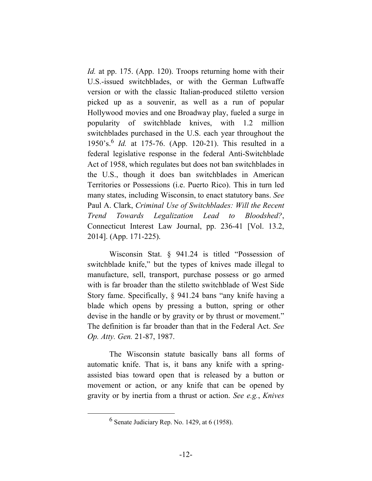*Id.* at pp. 175. (App. 120). Troops returning home with their U.S.-issued switchblades, or with the German Luftwaffe version or with the classic Italian-produced stiletto version picked up as a souvenir, as well as a run of popular Hollywood movies and one Broadway play, fueled a surge in popularity of switchblade knives, with 1.2 million switchblades purchased in the U.S. each year throughout the 1950's.<sup>6</sup> *Id.* at 175-76. (App. 120-21). This resulted in a federal legislative response in the federal Anti-Switchblade Act of 1958, which regulates but does not ban switchblades in the U.S., though it does ban switchblades in American Territories or Possessions (i.e. Puerto Rico). This in turn led many states, including Wisconsin, to enact statutory bans. *See* Paul A. Clark, *Criminal Use of Switchblades: Will the Recent Trend Towards Legalization Lead to Bloodshed?*, Connecticut Interest Law Journal, pp. 236-41 [Vol. 13.2, 2014]. (App. 171-225).

Wisconsin Stat. § 941.24 is titled "Possession of switchblade knife," but the types of knives made illegal to manufacture, sell, transport, purchase possess or go armed with is far broader than the stiletto switchblade of West Side Story fame. Specifically, § 941.24 bans "any knife having a blade which opens by pressing a button, spring or other devise in the handle or by gravity or by thrust or movement." The definition is far broader than that in the Federal Act. *See Op. Atty. Gen.* 21-87, 1987.

The Wisconsin statute basically bans all forms of automatic knife. That is, it bans any knife with a springassisted bias toward open that is released by a button or movement or action, or any knife that can be opened by gravity or by inertia from a thrust or action. *See e.g.*, *Knives* 

 <sup>6</sup>  $<sup>6</sup>$  Senate Judiciary Rep. No. 1429, at 6 (1958).</sup>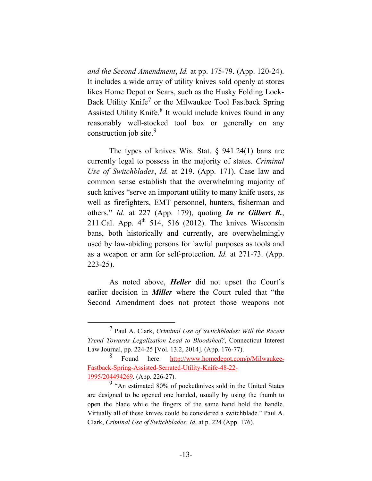*and the Second Amendment*, *Id.* at pp. 175-79. (App. 120-24). It includes a wide array of utility knives sold openly at stores likes Home Depot or Sears, such as the Husky Folding Lock-Back Utility Knife<sup>7</sup> or the Milwaukee Tool Fastback Spring Assisted Utility Knife.<sup>8</sup> It would include knives found in any reasonably well-stocked tool box or generally on any construction job site.<sup>9</sup>

The types of knives Wis. Stat. § 941.24(1) bans are currently legal to possess in the majority of states. *Criminal Use of Switchblades*, *Id.* at 219. (App. 171). Case law and common sense establish that the overwhelming majority of such knives "serve an important utility to many knife users, as well as firefighters, EMT personnel, hunters, fisherman and others." *Id.* at 227 (App. 179), quoting *In re Gilbert R.*, 211 Cal. App.  $4<sup>th</sup>$  514, 516 (2012). The knives Wisconsin bans, both historically and currently, are overwhelmingly used by law-abiding persons for lawful purposes as tools and as a weapon or arm for self-protection. *Id.* at 271-73. (App. 223-25).

As noted above, *Heller* did not upset the Court's earlier decision in *Miller* where the Court ruled that "the Second Amendment does not protect those weapons not

 <sup>7</sup> Paul A. Clark, *Criminal Use of Switchblades: Will the Recent Trend Towards Legalization Lead to Bloodshed?*, Connecticut Interest Law Journal, pp. 224-25 [Vol. 13.2, 2014]. (App. 176-77).

<sup>8</sup> Found here: http://www.homedepot.com/p/Milwaukee-Fastback-Spring-Assisted-Serrated-Utility-Knife-48-22- 1995/204494269. (App. 226-27).

<sup>9 &</sup>quot;An estimated 80% of pocketknives sold in the United States are designed to be opened one handed, usually by using the thumb to open the blade while the fingers of the same hand hold the handle. Virtually all of these knives could be considered a switchblade." Paul A. Clark, *Criminal Use of Switchblades: Id.* at p. 224 (App. 176).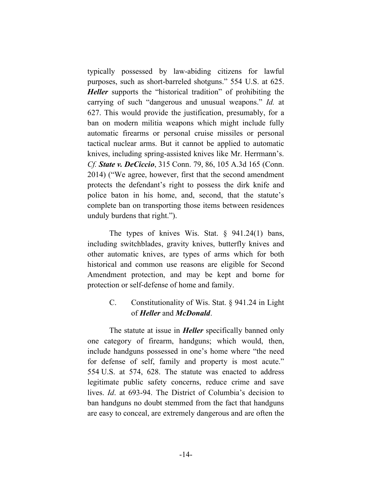typically possessed by law-abiding citizens for lawful purposes, such as short-barreled shotguns." 554 U.S. at 625. *Heller* supports the "historical tradition" of prohibiting the carrying of such "dangerous and unusual weapons." *Id.* at 627. This would provide the justification, presumably, for a ban on modern militia weapons which might include fully automatic firearms or personal cruise missiles or personal tactical nuclear arms. But it cannot be applied to automatic knives, including spring-assisted knives like Mr. Herrmann's. *Cf. State v. DeCiccio*, 315 Conn. 79, 86, 105 A.3d 165 (Conn. 2014) ("We agree, however, first that the second amendment protects the defendant's right to possess the dirk knife and police baton in his home, and, second, that the statute's complete ban on transporting those items between residences unduly burdens that right.").

The types of knives Wis. Stat. § 941.24(1) bans, including switchblades, gravity knives, butterfly knives and other automatic knives, are types of arms which for both historical and common use reasons are eligible for Second Amendment protection, and may be kept and borne for protection or self-defense of home and family.

## C. Constitutionality of Wis. Stat. § 941.24 in Light of *Heller* and *McDonald*.

The statute at issue in *Heller* specifically banned only one category of firearm, handguns; which would, then, include handguns possessed in one's home where "the need for defense of self, family and property is most acute." 554 U.S. at 574, 628. The statute was enacted to address legitimate public safety concerns, reduce crime and save lives. *Id*. at 693-94. The District of Columbia's decision to ban handguns no doubt stemmed from the fact that handguns are easy to conceal, are extremely dangerous and are often the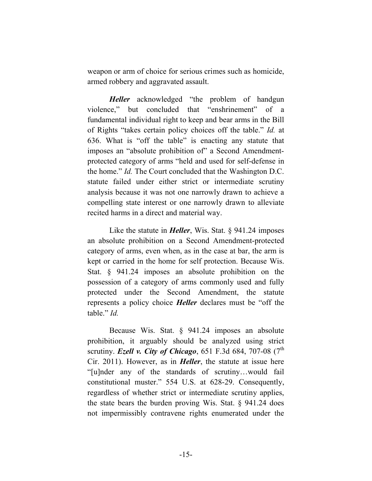weapon or arm of choice for serious crimes such as homicide, armed robbery and aggravated assault.

*Heller* acknowledged "the problem of handgun violence," but concluded that "enshrinement" of a fundamental individual right to keep and bear arms in the Bill of Rights "takes certain policy choices off the table." *Id.* at 636. What is "off the table" is enacting any statute that imposes an "absolute prohibition of" a Second Amendmentprotected category of arms "held and used for self-defense in the home." *Id.* The Court concluded that the Washington D.C. statute failed under either strict or intermediate scrutiny analysis because it was not one narrowly drawn to achieve a compelling state interest or one narrowly drawn to alleviate recited harms in a direct and material way.

Like the statute in *Heller*, Wis. Stat. § 941.24 imposes an absolute prohibition on a Second Amendment-protected category of arms, even when, as in the case at bar, the arm is kept or carried in the home for self protection. Because Wis. Stat. § 941.24 imposes an absolute prohibition on the possession of a category of arms commonly used and fully protected under the Second Amendment, the statute represents a policy choice *Heller* declares must be "off the table." *Id.*

Because Wis. Stat. § 941.24 imposes an absolute prohibition, it arguably should be analyzed using strict scrutiny. *Ezell v. City of Chicago*, 651 F.3d 684, 707-08  $(7<sup>th</sup>$ Cir. 2011). However, as in *Heller*, the statute at issue here "[u]nder any of the standards of scrutiny…would fail constitutional muster." 554 U.S. at 628-29. Consequently, regardless of whether strict or intermediate scrutiny applies, the state bears the burden proving Wis. Stat. § 941.24 does not impermissibly contravene rights enumerated under the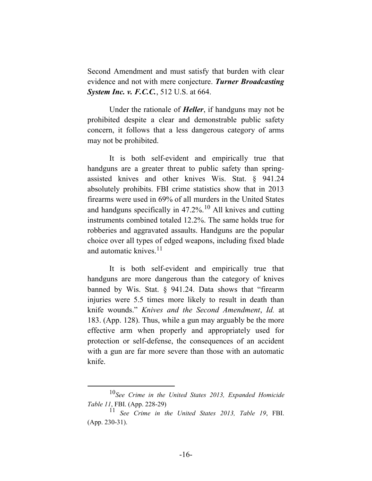Second Amendment and must satisfy that burden with clear evidence and not with mere conjecture. *Turner Broadcasting System Inc. v. F.C.C.*, 512 U.S. at 664.

Under the rationale of *Heller*, if handguns may not be prohibited despite a clear and demonstrable public safety concern, it follows that a less dangerous category of arms may not be prohibited.

It is both self-evident and empirically true that handguns are a greater threat to public safety than springassisted knives and other knives Wis. Stat. § 941.24 absolutely prohibits. FBI crime statistics show that in 2013 firearms were used in 69% of all murders in the United States and handguns specifically in  $47.2\%$ <sup>10</sup> All knives and cutting instruments combined totaled 12.2%. The same holds true for robberies and aggravated assaults. Handguns are the popular choice over all types of edged weapons, including fixed blade and automatic knives. $11$ 

It is both self-evident and empirically true that handguns are more dangerous than the category of knives banned by Wis. Stat. § 941.24. Data shows that "firearm injuries were 5.5 times more likely to result in death than knife wounds." *Knives and the Second Amendment*, *Id.* at 183. (App. 128). Thus, while a gun may arguably be the more effective arm when properly and appropriately used for protection or self-defense, the consequences of an accident with a gun are far more severe than those with an automatic knife.

 <sup>10</sup>*See Crime in the United States 2013, Expanded Homicide Table 11*, FBI. (App. 228-29)

<sup>11</sup> *See Crime in the United States 2013, Table 19*, FBI. (App. 230-31).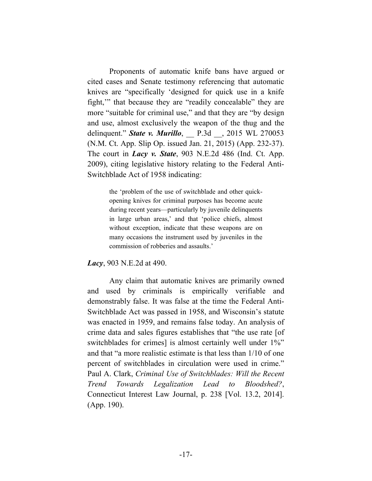Proponents of automatic knife bans have argued or cited cases and Senate testimony referencing that automatic knives are "specifically 'designed for quick use in a knife fight,'" that because they are "readily concealable" they are more "suitable for criminal use," and that they are "by design and use, almost exclusively the weapon of the thug and the delinquent." *State v. Murillo*, P.3d , 2015 WL 270053 (N.M. Ct. App. Slip Op. issued Jan. 21, 2015) (App. 232-37). The court in *Lacy v. State*, 903 N.E.2d 486 (Ind. Ct. App. 2009), citing legislative history relating to the Federal Anti-Switchblade Act of 1958 indicating:

> the 'problem of the use of switchblade and other quickopening knives for criminal purposes has become acute during recent years—particularly by juvenile delinquents in large urban areas,' and that 'police chiefs, almost without exception, indicate that these weapons are on many occasions the instrument used by juveniles in the commission of robberies and assaults.'

*Lacy*, 903 N.E.2d at 490.

Any claim that automatic knives are primarily owned and used by criminals is empirically verifiable and demonstrably false. It was false at the time the Federal Anti-Switchblade Act was passed in 1958, and Wisconsin's statute was enacted in 1959, and remains false today. An analysis of crime data and sales figures establishes that "the use rate [of switchblades for crimes] is almost certainly well under  $1\%$ " and that "a more realistic estimate is that less than 1/10 of one percent of switchblades in circulation were used in crime." Paul A. Clark, *Criminal Use of Switchblades: Will the Recent Trend Towards Legalization Lead to Bloodshed?*, Connecticut Interest Law Journal, p. 238 [Vol. 13.2, 2014]. (App. 190).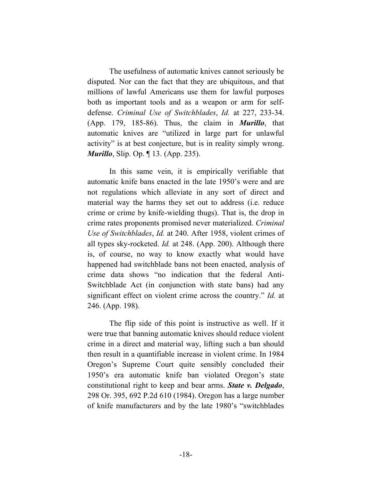The usefulness of automatic knives cannot seriously be disputed. Nor can the fact that they are ubiquitous, and that millions of lawful Americans use them for lawful purposes both as important tools and as a weapon or arm for selfdefense. *Criminal Use of Switchblades*, *Id.* at 227, 233-34. (App. 179, 185-86). Thus, the claim in *Murillo*, that automatic knives are "utilized in large part for unlawful activity" is at best conjecture, but is in reality simply wrong. *Murillo*, Slip. Op. ¶ 13. (App. 235).

In this same vein, it is empirically verifiable that automatic knife bans enacted in the late 1950's were and are not regulations which alleviate in any sort of direct and material way the harms they set out to address (i.e. reduce crime or crime by knife-wielding thugs). That is, the drop in crime rates proponents promised never materialized. *Criminal Use of Switchblades*, *Id.* at 240. After 1958, violent crimes of all types sky-rocketed. *Id.* at 248. (App. 200). Although there is, of course, no way to know exactly what would have happened had switchblade bans not been enacted, analysis of crime data shows "no indication that the federal Anti-Switchblade Act (in conjunction with state bans) had any significant effect on violent crime across the country." *Id.* at 246. (App. 198).

The flip side of this point is instructive as well. If it were true that banning automatic knives should reduce violent crime in a direct and material way, lifting such a ban should then result in a quantifiable increase in violent crime. In 1984 Oregon's Supreme Court quite sensibly concluded their 1950's era automatic knife ban violated Oregon's state constitutional right to keep and bear arms. *State v. Delgado*, 298 Or. 395, 692 P.2d 610 (1984). Oregon has a large number of knife manufacturers and by the late 1980's "switchblades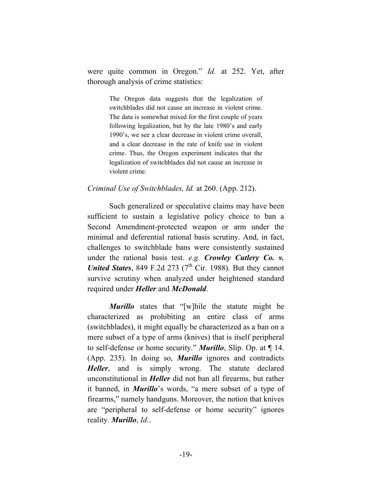were quite common in Oregon." *Id.* at 252. Yet, after thorough analysis of crime statistics:

> The Oregon data suggests that the legalization of switchblades did not cause an increase in violent crime. The data is somewhat mixed for the first couple of years following legalization, but by the late 1980's and early 1990's, we see a clear decrease in violent crime overall, and a clear decrease in the rate of knife use in violent crime. Thus, the Oregon experiment indicates that the legalization of switchblades did not cause an increase in violent crime.

#### *Criminal Use of Switchblades, Id.* at 260. (App. 212).

Such generalized or speculative claims may have been sufficient to sustain a legislative policy choice to ban a Second Amendment-protected weapon or arm under the minimal and deferential rational basis scrutiny. And, in fact, challenges to switchblade bans were consistently sustained under the rational basis test. *e.g. Crowley Cutlery Co. v. United States*, 849 F.2d 273 ( $7<sup>th</sup>$  Cir. 1988). But they cannot survive scrutiny when analyzed under heightened standard required under *Heller* and *McDonald*.

*Murillo* states that "[w]hile the statute might be characterized as prohibiting an entire class of arms (switchblades), it might equally be characterized as a ban on a mere subset of a type of arms (knives) that is itself peripheral to self-defense or home security." *Murillo*, Slip. Op. at ¶ 14. (App. 235). In doing so, *Murillo* ignores and contradicts *Heller*, and is simply wrong. The statute declared unconstitutional in *Heller* did not ban all firearms, but rather it banned, in *Murillo*'s words, "a mere subset of a type of firearms," namely handguns. Moreover, the notion that knives are "peripheral to self-defense or home security" ignores reality. *Murillo*, *Id.*.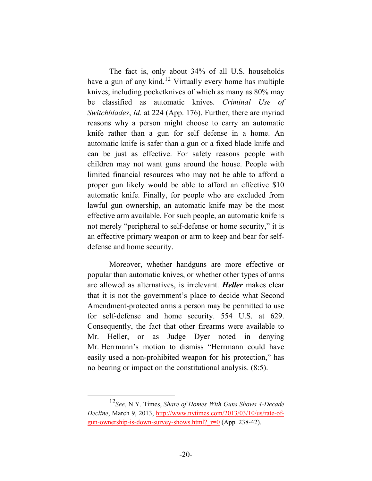The fact is, only about 34% of all U.S. households have a gun of any kind.<sup>12</sup> Virtually every home has multiple knives, including pocketknives of which as many as 80% may be classified as automatic knives. *Criminal Use of Switchblades*, *Id.* at 224 (App. 176). Further, there are myriad reasons why a person might choose to carry an automatic knife rather than a gun for self defense in a home. An automatic knife is safer than a gun or a fixed blade knife and can be just as effective. For safety reasons people with children may not want guns around the house. People with limited financial resources who may not be able to afford a proper gun likely would be able to afford an effective \$10 automatic knife. Finally, for people who are excluded from lawful gun ownership, an automatic knife may be the most effective arm available. For such people, an automatic knife is not merely "peripheral to self-defense or home security," it is an effective primary weapon or arm to keep and bear for selfdefense and home security.

Moreover, whether handguns are more effective or popular than automatic knives, or whether other types of arms are allowed as alternatives, is irrelevant. *Heller* makes clear that it is not the government's place to decide what Second Amendment-protected arms a person may be permitted to use for self-defense and home security. 554 U.S. at 629. Consequently, the fact that other firearms were available to Mr. Heller, or as Judge Dyer noted in denying Mr. Herrmann's motion to dismiss "Herrmann could have easily used a non-prohibited weapon for his protection," has no bearing or impact on the constitutional analysis. (8:5).

 <sup>12</sup>*See*, N.Y. Times, *Share of Homes With Guns Shows 4-Decade Decline*, March 9, 2013, http://www.nytimes.com/2013/03/10/us/rate-ofgun-ownership-is-down-survey-shows.html? $r=0$  (App. 238-42).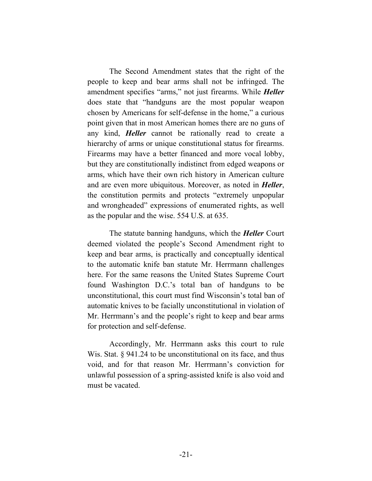The Second Amendment states that the right of the people to keep and bear arms shall not be infringed. The amendment specifies "arms," not just firearms. While *Heller* does state that "handguns are the most popular weapon chosen by Americans for self-defense in the home," a curious point given that in most American homes there are no guns of any kind, *Heller* cannot be rationally read to create a hierarchy of arms or unique constitutional status for firearms. Firearms may have a better financed and more vocal lobby, but they are constitutionally indistinct from edged weapons or arms, which have their own rich history in American culture and are even more ubiquitous. Moreover, as noted in *Heller*, the constitution permits and protects "extremely unpopular and wrongheaded" expressions of enumerated rights, as well as the popular and the wise. 554 U.S. at 635.

The statute banning handguns, which the *Heller* Court deemed violated the people's Second Amendment right to keep and bear arms, is practically and conceptually identical to the automatic knife ban statute Mr. Herrmann challenges here. For the same reasons the United States Supreme Court found Washington D.C.'s total ban of handguns to be unconstitutional, this court must find Wisconsin's total ban of automatic knives to be facially unconstitutional in violation of Mr. Herrmann's and the people's right to keep and bear arms for protection and self-defense.

Accordingly, Mr. Herrmann asks this court to rule Wis. Stat. § 941.24 to be unconstitutional on its face, and thus void, and for that reason Mr. Herrmann's conviction for unlawful possession of a spring-assisted knife is also void and must be vacated.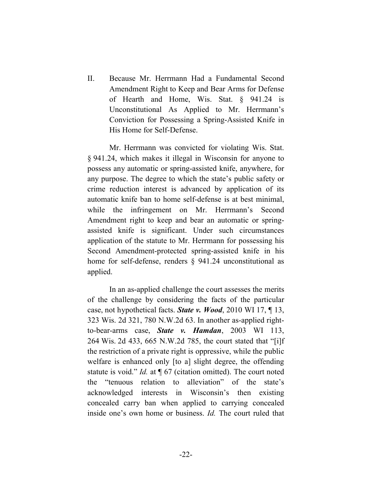II. Because Mr. Herrmann Had a Fundamental Second Amendment Right to Keep and Bear Arms for Defense of Hearth and Home, Wis. Stat. § 941.24 is Unconstitutional As Applied to Mr. Herrmann's Conviction for Possessing a Spring-Assisted Knife in His Home for Self-Defense.

Mr. Herrmann was convicted for violating Wis. Stat. § 941.24, which makes it illegal in Wisconsin for anyone to possess any automatic or spring-assisted knife, anywhere, for any purpose. The degree to which the state's public safety or crime reduction interest is advanced by application of its automatic knife ban to home self-defense is at best minimal, while the infringement on Mr. Herrmann's Second Amendment right to keep and bear an automatic or springassisted knife is significant. Under such circumstances application of the statute to Mr. Herrmann for possessing his Second Amendment-protected spring-assisted knife in his home for self-defense, renders § 941.24 unconstitutional as applied.

In an as-applied challenge the court assesses the merits of the challenge by considering the facts of the particular case, not hypothetical facts. *State v. Wood*, 2010 WI 17, ¶ 13, 323 Wis. 2d 321, 780 N.W.2d 63. In another as-applied rightto-bear-arms case, *State v. Hamdan*, 2003 WI 113, 264 Wis. 2d 433, 665 N.W.2d 785, the court stated that "[i]f the restriction of a private right is oppressive, while the public welfare is enhanced only [to a] slight degree, the offending statute is void." *Id.* at ¶ 67 (citation omitted). The court noted the "tenuous relation to alleviation" of the state's acknowledged interests in Wisconsin's then existing concealed carry ban when applied to carrying concealed inside one's own home or business. *Id.* The court ruled that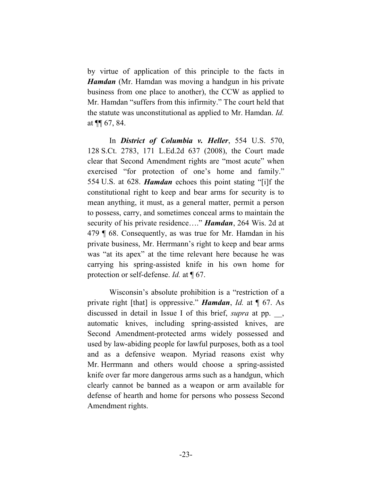by virtue of application of this principle to the facts in *Hamdan* (Mr. Hamdan was moving a handgun in his private business from one place to another), the CCW as applied to Mr. Hamdan "suffers from this infirmity." The court held that the statute was unconstitutional as applied to Mr. Hamdan. *Id.* at ¶¶ 67, 84.

In *District of Columbia v. Heller*, 554 U.S. 570, 128 S.Ct. 2783, 171 L.Ed.2d 637 (2008), the Court made clear that Second Amendment rights are "most acute" when exercised "for protection of one's home and family." 554 U.S. at 628. *Hamdan* echoes this point stating "[i]f the constitutional right to keep and bear arms for security is to mean anything, it must, as a general matter, permit a person to possess, carry, and sometimes conceal arms to maintain the security of his private residence…." *Hamdan*, 264 Wis. 2d at 479 ¶ 68. Consequently, as was true for Mr. Hamdan in his private business, Mr. Herrmann's right to keep and bear arms was "at its apex" at the time relevant here because he was carrying his spring-assisted knife in his own home for protection or self-defense. *Id.* at ¶ 67.

Wisconsin's absolute prohibition is a "restriction of a private right [that] is oppressive." *Hamdan*, *Id.* at ¶ 67. As discussed in detail in Issue I of this brief, *supra* at pp. \_\_, automatic knives, including spring-assisted knives, are Second Amendment-protected arms widely possessed and used by law-abiding people for lawful purposes, both as a tool and as a defensive weapon. Myriad reasons exist why Mr. Herrmann and others would choose a spring-assisted knife over far more dangerous arms such as a handgun, which clearly cannot be banned as a weapon or arm available for defense of hearth and home for persons who possess Second Amendment rights.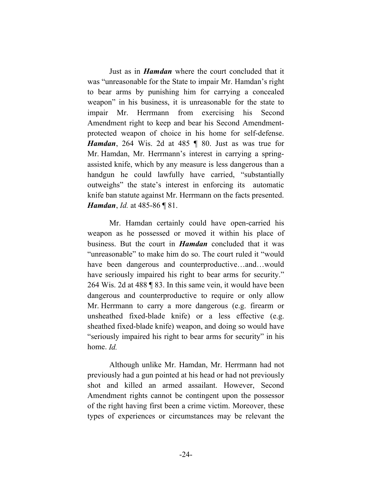Just as in *Hamdan* where the court concluded that it was "unreasonable for the State to impair Mr. Hamdan's right to bear arms by punishing him for carrying a concealed weapon" in his business, it is unreasonable for the state to impair Mr. Herrmann from exercising his Second Amendment right to keep and bear his Second Amendmentprotected weapon of choice in his home for self-defense. *Hamdan*, 264 Wis. 2d at 485 ¶ 80. Just as was true for Mr. Hamdan, Mr. Herrmann's interest in carrying a springassisted knife, which by any measure is less dangerous than a handgun he could lawfully have carried, "substantially outweighs" the state's interest in enforcing its automatic knife ban statute against Mr. Herrmann on the facts presented. *Hamdan*, *Id.* at 485-86 | 81.

Mr. Hamdan certainly could have open-carried his weapon as he possessed or moved it within his place of business. But the court in *Hamdan* concluded that it was "unreasonable" to make him do so. The court ruled it "would have been dangerous and counterproductive...and...would have seriously impaired his right to bear arms for security." 264 Wis. 2d at 488 ¶ 83. In this same vein, it would have been dangerous and counterproductive to require or only allow Mr. Herrmann to carry a more dangerous (e.g. firearm or unsheathed fixed-blade knife) or a less effective (e.g. sheathed fixed-blade knife) weapon, and doing so would have "seriously impaired his right to bear arms for security" in his home. *Id.*

Although unlike Mr. Hamdan, Mr. Herrmann had not previously had a gun pointed at his head or had not previously shot and killed an armed assailant. However, Second Amendment rights cannot be contingent upon the possessor of the right having first been a crime victim. Moreover, these types of experiences or circumstances may be relevant the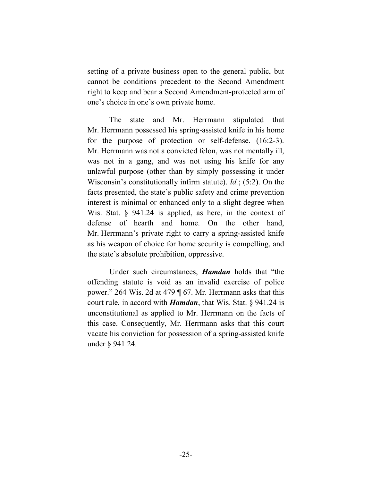setting of a private business open to the general public, but cannot be conditions precedent to the Second Amendment right to keep and bear a Second Amendment-protected arm of one's choice in one's own private home.

The state and Mr. Herrmann stipulated that Mr. Herrmann possessed his spring-assisted knife in his home for the purpose of protection or self-defense. (16:2-3). Mr. Herrmann was not a convicted felon, was not mentally ill, was not in a gang, and was not using his knife for any unlawful purpose (other than by simply possessing it under Wisconsin's constitutionally infirm statute). *Id.*; (5:2). On the facts presented, the state's public safety and crime prevention interest is minimal or enhanced only to a slight degree when Wis. Stat. § 941.24 is applied, as here, in the context of defense of hearth and home. On the other hand, Mr. Herrmann's private right to carry a spring-assisted knife as his weapon of choice for home security is compelling, and the state's absolute prohibition, oppressive.

Under such circumstances, *Hamdan* holds that "the offending statute is void as an invalid exercise of police power." 264 Wis. 2d at 479 ¶ 67. Mr. Herrmann asks that this court rule, in accord with *Hamdan*, that Wis. Stat. § 941.24 is unconstitutional as applied to Mr. Herrmann on the facts of this case. Consequently, Mr. Herrmann asks that this court vacate his conviction for possession of a spring-assisted knife under § 941.24.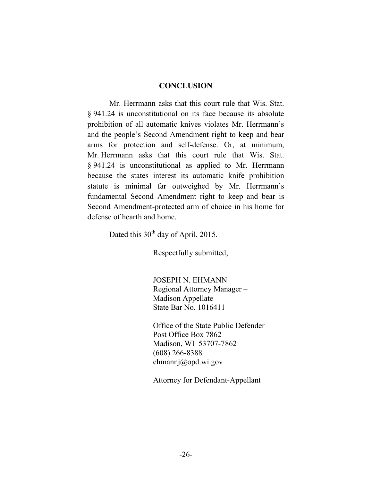#### **CONCLUSION**

Mr. Herrmann asks that this court rule that Wis. Stat. § 941.24 is unconstitutional on its face because its absolute prohibition of all automatic knives violates Mr. Herrmann's and the people's Second Amendment right to keep and bear arms for protection and self-defense. Or, at minimum, Mr. Herrmann asks that this court rule that Wis. Stat. § 941.24 is unconstitutional as applied to Mr. Herrmann because the states interest its automatic knife prohibition statute is minimal far outweighed by Mr. Herrmann's fundamental Second Amendment right to keep and bear is Second Amendment-protected arm of choice in his home for defense of hearth and home.

Dated this  $30<sup>th</sup>$  day of April, 2015.

Respectfully submitted,

JOSEPH N. EHMANN Regional Attorney Manager – Madison Appellate State Bar No. 1016411

Office of the State Public Defender Post Office Box 7862 Madison, WI 53707-7862 (608) 266-8388 ehmannj@opd.wi.gov

Attorney for Defendant-Appellant